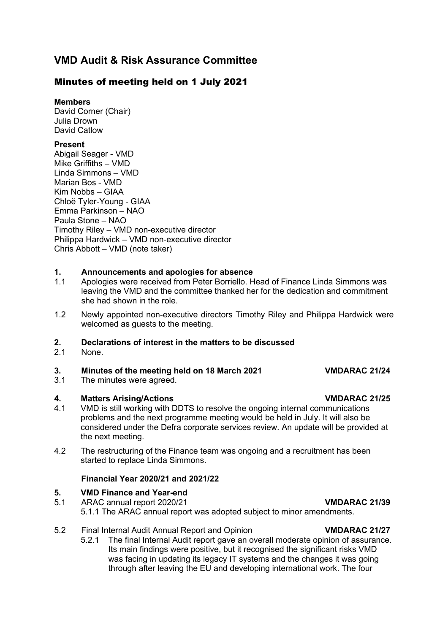## **VMD Audit & Risk Assurance Committee**

### Minutes of meeting held on 1 July 2021

**Members**

David Corner (Chair) Julia Drown David Catlow

### **Present**

Abigail Seager - VMD Mike Griffiths – VMD Linda Simmons – VMD Marian Bos - VMD Kim Nobbs – GIAA Chloë Tyler-Young - GIAA Emma Parkinson – NAO Paula Stone – NAO Timothy Riley – VMD non-executive director Philippa Hardwick – VMD non-executive director Chris Abbott – VMD (note taker)

### **1. Announcements and apologies for absence**

- 1.1 Apologies were received from Peter Borriello. Head of Finance Linda Simmons was leaving the VMD and the committee thanked her for the dedication and commitment she had shown in the role.
- 1.2 Newly appointed non-executive directors Timothy Riley and Philippa Hardwick were welcomed as guests to the meeting.

## **2. Declarations of interest in the matters to be discussed**

None.

### **3. Minutes of the meeting held on 18 March 2021 VMDARAC 21/24**

3.1 The minutes were agreed.

- **4. Matters Arising/Actions**<br>4.1 VMD is still working with DDTS to resolve the ongoing internal communications VMD is still working with DDTS to resolve the ongoing internal communications problems and the next programme meeting would be held in July. It will also be considered under the Defra corporate services review. An update will be provided at the next meeting.
- 4.2 The restructuring of the Finance team was ongoing and a recruitment has been started to replace Linda Simmons.

### **Financial Year 2020/21 and 2021/22**

## **5. VMD Finance and Year-end**<br>5.1 **ARAC annual report 2020/21**

- 5.1 ARAC annual report 2020/21 **VMDARAC 21/39**  5.1.1 The ARAC annual report was adopted subject to minor amendments.
- 5.2 Final Internal Audit Annual Report and Opinion **VMDARAC 21/27**
	- 5.2.1 The final Internal Audit report gave an overall moderate opinion of assurance. Its main findings were positive, but it recognised the significant risks VMD was facing in updating its legacy IT systems and the changes it was going through after leaving the EU and developing international work. The four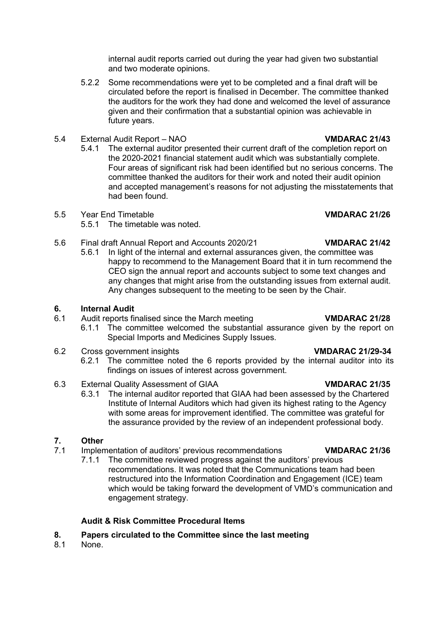internal audit reports carried out during the year had given two substantial and two moderate opinions.

- 5.2.2 Some recommendations were yet to be completed and a final draft will be circulated before the report is finalised in December. The committee thanked the auditors for the work they had done and welcomed the level of assurance given and their confirmation that a substantial opinion was achievable in future years.
- 5.4 External Audit Report NAO **VMDARAC 21/43**
	- 5.4.1 The external auditor presented their current draft of the completion report on the 2020-2021 financial statement audit which was substantially complete. Four areas of significant risk had been identified but no serious concerns. The committee thanked the auditors for their work and noted their audit opinion and accepted management's reasons for not adjusting the misstatements that had been found.
- 5.5 Year End Timetable **VMDARAC 21/26**
	- 5.5.1 The timetable was noted.
- 5.6 Final draft Annual Report and Accounts 2020/21 **VMDARAC 21/42**
	- 5.6.1 In light of the internal and external assurances given, the committee was happy to recommend to the Management Board that it in turn recommend the CEO sign the annual report and accounts subject to some text changes and any changes that might arise from the outstanding issues from external audit. Any changes subsequent to the meeting to be seen by the Chair.

### **6. Internal Audit**

- 6.1 Audit reports finalised since the March meeting **VMDARAC 21/28**
	- 6.1.1 The committee welcomed the substantial assurance given by the report on Special Imports and Medicines Supply Issues.
- 6.2 Cross government insights **VMDARAC 21/29-34**
	- 6.2.1 The committee noted the 6 reports provided by the internal auditor into its findings on issues of interest across government.
- 6.3 External Quality Assessment of GIAA **VMDARAC 21/35**
	- 6.3.1 The internal auditor reported that GIAA had been assessed by the Chartered Institute of Internal Auditors which had given its highest rating to the Agency with some areas for improvement identified. The committee was grateful for the assurance provided by the review of an independent professional body.

## **7. Other**

- 7.1 Implementation of auditors' previous recommendations **VMDARAC 21/36**
	- 7.1.1 The committee reviewed progress against the auditors' previous recommendations. It was noted that the Communications team had been restructured into the Information Coordination and Engagement (ICE) team which would be taking forward the development of VMD's communication and engagement strategy.

### **Audit & Risk Committee Procedural Items**

- **8. Papers circulated to the Committee since the last meeting**
- None.